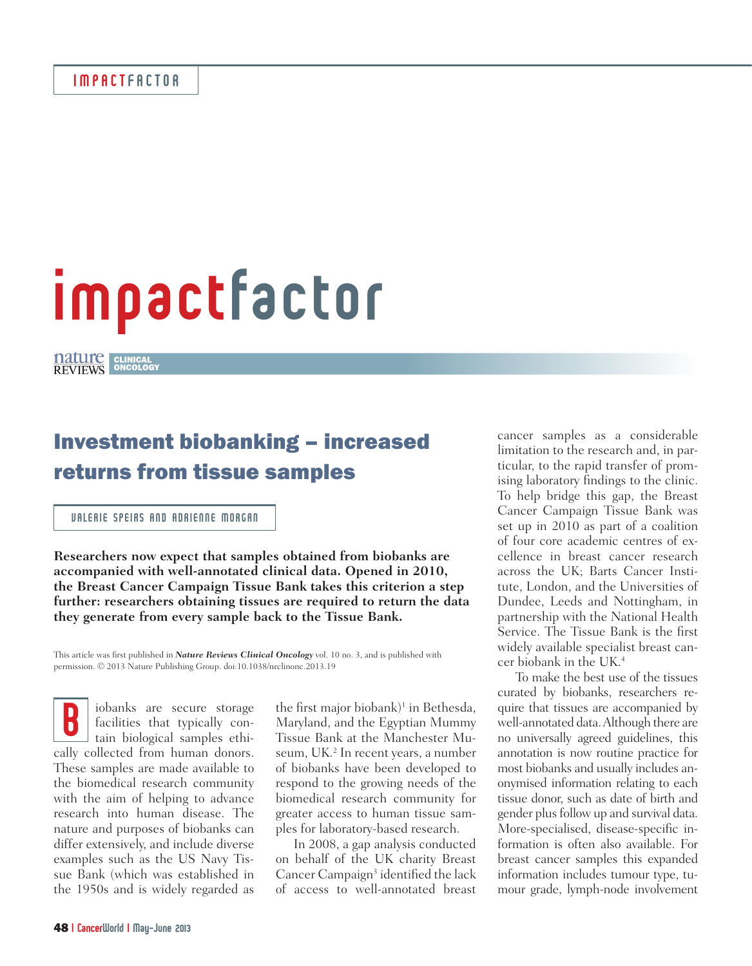# impactfactor

CLINICAL ONCOLOGY

# Investment biobanking – increased returns from tissue samples

## VALERIE SPEIRS AND ADRIENNE MORGAN

**Researchers now expect that samples obtained from biobanks are accompanied with well-annotated clinical data. Opened in 2010, the Breast Cancer Campaign Tissue Bank takes this criterion a step further: researchers obtaining tissues are required to return the data they generate from every sample back to the Tissue Bank.**

This article was first published in *Nature Reviews Clinical Oncology* vol. 10 no. 3, and is published with permission. © 2013 Nature Publishing Group. doi:10.1038/nrclinonc.2013.19

B iobanks are secure storage facilities that typically contain biological samples ethically collected from human donors. These samples are made available to the biomedical research community with the aim of helping to advance research into human disease. The nature and purposes of biobanks can differ extensively, and include diverse examples such as the US Navy Tissue Bank (which was established in the 1950s and is widely regarded as

the first major biobank)<sup>1</sup> in Bethesda, Maryland, and the Egyptian Mummy Tissue Bank at the Manchester Museum, UK.<sup>2</sup> In recent years, a number of biobanks have been developed to respond to the growing needs of the biomedical research community for greater access to human tissue samples for laboratory-based research.

In 2008, a gap analysis conducted on behalf of the UK charity Breast Cancer Campaign<sup>3</sup> identified the lack of access to well-annotated breast

cancer samples as a considerable limitation to the research and, in particular, to the rapid transfer of promising laboratory findings to the clinic. To help bridge this gap, the Breast Cancer Campaign Tissue Bank was set up in 2010 as part of a coalition of four core academic centres of excellence in breast cancer research across the UK; Barts Cancer Institute, London, and the Universities of Dundee, Leeds and Nottingham, in partnership with the National Health Service. The Tissue Bank is the first widely available specialist breast cancer biobank in the UK.4

To make the best use of the tissues curated by biobanks, researchers require that tissues are accompanied by well-annotated data. Although there are no universally agreed guidelines, this annotation is now routine practice for most biobanks and usually includes anonymised information relating to each tissue donor, such as date of birth and gender plus follow up and survival data. More-specialised, disease-specific information is often also available. For breast cancer samples this expanded information includes tumour type, tumour grade, lymph-node involvement